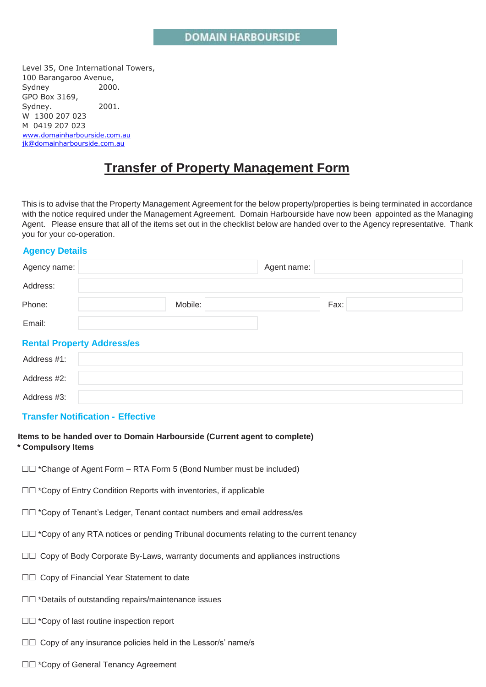Level 35, One International Towers, 100 Barangaroo Avenue, Sydney 2000. GPO Box 3169, Sydney. 2001. W 1300 207 023 M 0419 207 023 [www.domainharbourside.com.au](http://www.domainharbourside.com.au/) [jk@domainharbourside.com.au](mailto:jk@domainharbourside.com.au)

# **Transfer of Property Management Form**

This is to advise that the Property Management Agreement for the below property/properties is being terminated in accordance with the notice required under the Management Agreement. Domain Harbourside have now been appointed as the Managing Agent. Please ensure that all of the items set out in the checklist below are handed over to the Agency representative. Thank you for your co-operation.

### **Agency Details**

| Agency name:                      |         | Agent name: |  |  |
|-----------------------------------|---------|-------------|--|--|
| Address:                          |         |             |  |  |
| Phone:                            | Mobile: | Fax:        |  |  |
| Email:                            |         |             |  |  |
| <b>Rental Property Address/es</b> |         |             |  |  |
| Address #1:                       |         |             |  |  |
| Address #2:                       |         |             |  |  |
| Address #3:                       |         |             |  |  |

#### **Transfer Notification - Effective**

#### **Items to be handed over to Domain Harbourside (Current agent to complete) \* Compulsory Items**

- $\Box$ <sup>\*</sup>Change of Agent Form RTA Form 5 (Bond Number must be included)
- □□ \*Copy of Entry Condition Reports with inventories, if applicable
- □□ \*Copy of Tenant's Ledger, Tenant contact numbers and email address/es
- $\square \square$  \*Copy of any RTA notices or pending Tribunal documents relating to the current tenancy
- $\Box\Box$  Copy of Body Corporate By-Laws, warranty documents and appliances instructions
- □□ Copy of Financial Year Statement to date
- □□ \*Details of outstanding repairs/maintenance issues
- □□ \*Copy of last routine inspection report
- $\square \square$  Copy of any insurance policies held in the Lessor/s' name/s
- □□ \*Copy of General Tenancy Agreement